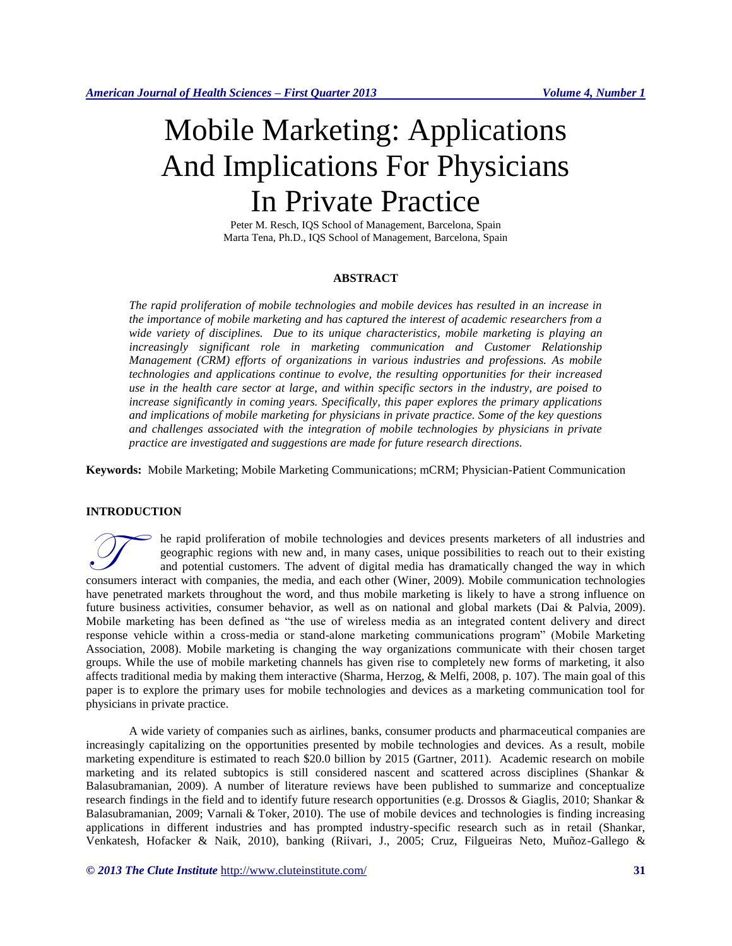# Mobile Marketing: Applications And Implications For Physicians In Private Practice

Peter M. Resch, IQS School of Management, Barcelona, Spain Marta Tena, Ph.D., IQS School of Management, Barcelona, Spain

## **ABSTRACT**

*The rapid proliferation of mobile technologies and mobile devices has resulted in an increase in the importance of mobile marketing and has captured the interest of academic researchers from a wide variety of disciplines. Due to its unique characteristics, mobile marketing is playing an increasingly significant role in marketing communication and Customer Relationship Management (CRM) efforts of organizations in various industries and professions. As mobile technologies and applications continue to evolve, the resulting opportunities for their increased use in the health care sector at large, and within specific sectors in the industry, are poised to increase significantly in coming years. Specifically, this paper explores the primary applications and implications of mobile marketing for physicians in private practice. Some of the key questions and challenges associated with the integration of mobile technologies by physicians in private practice are investigated and suggestions are made for future research directions.* 

**Keywords:** Mobile Marketing; Mobile Marketing Communications; mCRM; Physician-Patient Communication

## **INTRODUCTION**

he rapid proliferation of mobile technologies and devices presents marketers of all industries and geographic regions with new and, in many cases, unique possibilities to reach out to their existing and potential customers. The advent of digital media has dramatically changed the way in which The rapid proliferation of mobile technologies and devices presents marketers of all industries and geographic regions with new and, in many cases, unique possibilities to reach out to their existing and potential customer have penetrated markets throughout the word, and thus mobile marketing is likely to have a strong influence on future business activities, consumer behavior, as well as on national and global markets (Dai & Palvia, 2009). Mobile marketing has been defined as "the use of wireless media as an integrated content delivery and direct response vehicle within a cross-media or stand-alone marketing communications program" (Mobile Marketing Association, 2008). Mobile marketing is changing the way organizations communicate with their chosen target groups. While the use of mobile marketing channels has given rise to completely new forms of marketing, it also affects traditional media by making them interactive (Sharma, Herzog, & Melfi, 2008, p. 107). The main goal of this paper is to explore the primary uses for mobile technologies and devices as a marketing communication tool for physicians in private practice.

A wide variety of companies such as airlines, banks, consumer products and pharmaceutical companies are increasingly capitalizing on the opportunities presented by mobile technologies and devices. As a result, mobile marketing expenditure is estimated to reach \$20.0 billion by 2015 (Gartner, 2011). Academic research on mobile marketing and its related subtopics is still considered nascent and scattered across disciplines (Shankar & Balasubramanian, 2009). A number of literature reviews have been published to summarize and conceptualize research findings in the field and to identify future research opportunities (e.g. Drossos & Giaglis, 2010; Shankar & Balasubramanian, 2009; Varnali & Toker, 2010). The use of mobile devices and technologies is finding increasing applications in different industries and has prompted industry-specific research such as in retail (Shankar, Venkatesh, Hofacker & Naik, 2010), banking (Riivari, J., 2005; Cruz, Filgueiras Neto, Muñoz-Gallego &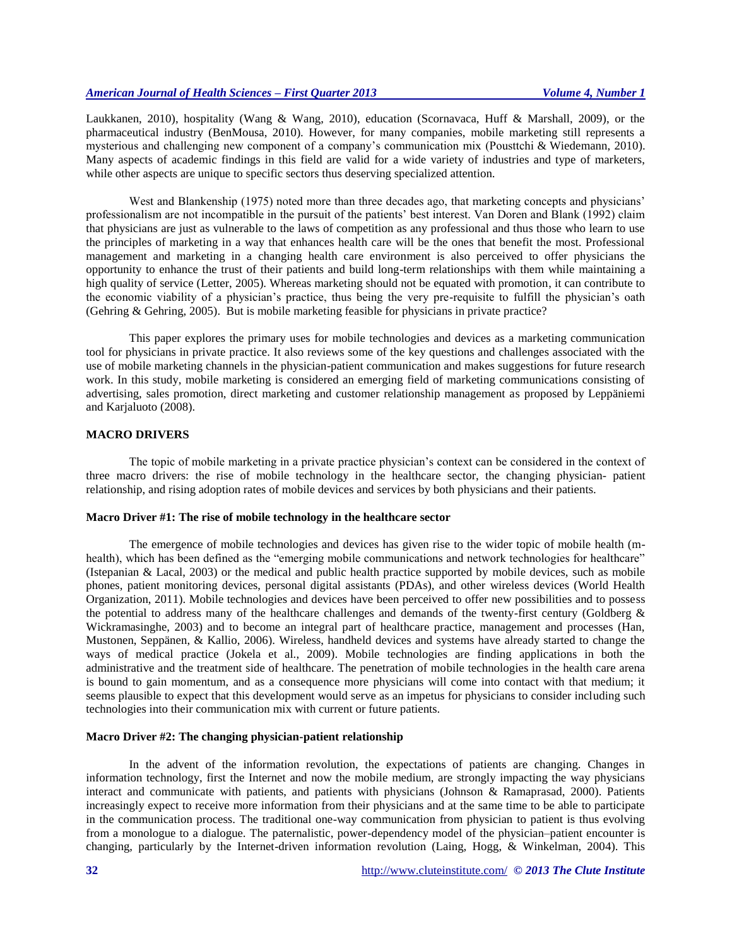Laukkanen, 2010), hospitality (Wang & Wang, 2010), education (Scornavaca, Huff & Marshall, 2009), or the pharmaceutical industry (BenMousa, 2010). However, for many companies, mobile marketing still represents a mysterious and challenging new component of a company's communication mix (Pousttchi & Wiedemann, 2010). Many aspects of academic findings in this field are valid for a wide variety of industries and type of marketers, while other aspects are unique to specific sectors thus deserving specialized attention.

West and Blankenship (1975) noted more than three decades ago, that marketing concepts and physicians' professionalism are not incompatible in the pursuit of the patients' best interest. Van Doren and Blank (1992) claim that physicians are just as vulnerable to the laws of competition as any professional and thus those who learn to use the principles of marketing in a way that enhances health care will be the ones that benefit the most. Professional management and marketing in a changing health care environment is also perceived to offer physicians the opportunity to enhance the trust of their patients and build long-term relationships with them while maintaining a high quality of service (Letter, 2005). Whereas marketing should not be equated with promotion, it can contribute to the economic viability of a physician's practice, thus being the very pre-requisite to fulfill the physician's oath (Gehring & Gehring, 2005). But is mobile marketing feasible for physicians in private practice?

This paper explores the primary uses for mobile technologies and devices as a marketing communication tool for physicians in private practice. It also reviews some of the key questions and challenges associated with the use of mobile marketing channels in the physician-patient communication and makes suggestions for future research work. In this study, mobile marketing is considered an emerging field of marketing communications consisting of advertising, sales promotion, direct marketing and customer relationship management as proposed by Leppäniemi and Karjaluoto (2008).

#### **MACRO DRIVERS**

The topic of mobile marketing in a private practice physician's context can be considered in the context of three macro drivers: the rise of mobile technology in the healthcare sector, the changing physician- patient relationship, and rising adoption rates of mobile devices and services by both physicians and their patients.

#### **Macro Driver #1: The rise of mobile technology in the healthcare sector**

The emergence of mobile technologies and devices has given rise to the wider topic of mobile health (mhealth), which has been defined as the "emerging mobile communications and network technologies for healthcare" (Istepanian & Lacal, 2003) or the medical and public health practice supported by mobile devices, such as mobile phones, patient monitoring devices, personal digital assistants (PDAs), and other wireless devices (World Health Organization, 2011). Mobile technologies and devices have been perceived to offer new possibilities and to possess the potential to address many of the healthcare challenges and demands of the twenty-first century (Goldberg & Wickramasinghe, 2003) and to become an integral part of healthcare practice, management and processes (Han, Mustonen, Seppänen, & Kallio, 2006). Wireless, handheld devices and systems have already started to change the ways of medical practice (Jokela et al., 2009). Mobile technologies are finding applications in both the administrative and the treatment side of healthcare. The penetration of mobile technologies in the health care arena is bound to gain momentum, and as a consequence more physicians will come into contact with that medium; it seems plausible to expect that this development would serve as an impetus for physicians to consider including such technologies into their communication mix with current or future patients.

#### **Macro Driver #2: The changing physician-patient relationship**

In the advent of the information revolution, the expectations of patients are changing. Changes in information technology, first the Internet and now the mobile medium, are strongly impacting the way physicians interact and communicate with patients, and patients with physicians (Johnson & Ramaprasad, 2000). Patients increasingly expect to receive more information from their physicians and at the same time to be able to participate in the communication process. The traditional one-way communication from physician to patient is thus evolving from a monologue to a dialogue. The paternalistic, power-dependency model of the physician–patient encounter is changing, particularly by the Internet-driven information revolution (Laing, Hogg, & Winkelman, 2004). This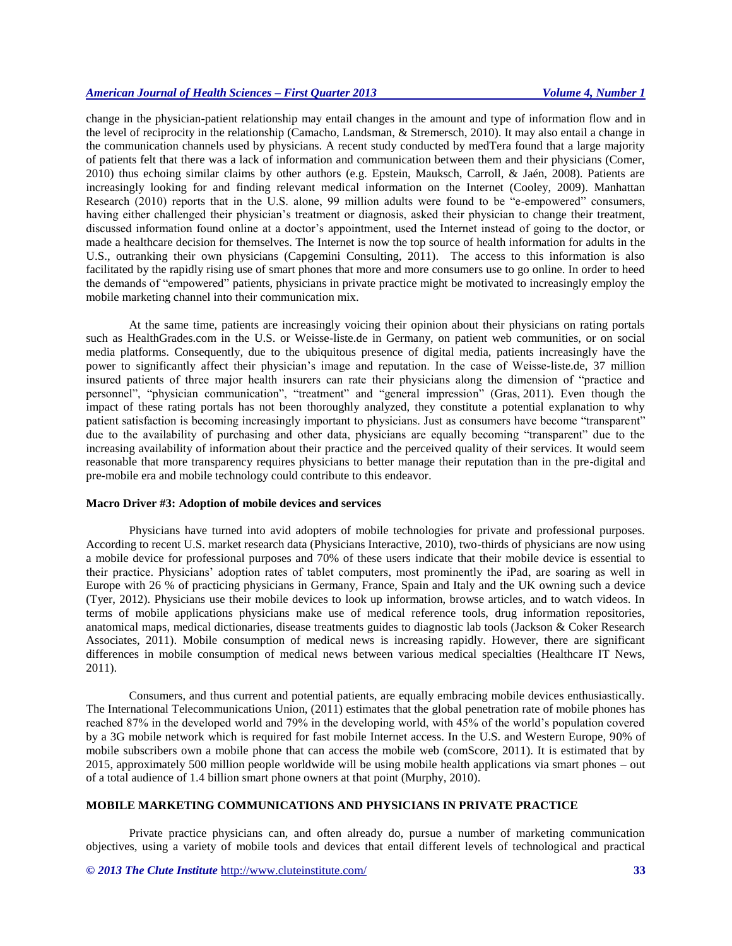change in the physician-patient relationship may entail changes in the amount and type of information flow and in the level of reciprocity in the relationship (Camacho, Landsman, & Stremersch, 2010). It may also entail a change in the communication channels used by physicians. A recent study conducted by medTera found that a large majority of patients felt that there was a lack of information and communication between them and their physicians (Comer, 2010) thus echoing similar claims by other authors (e.g. Epstein, Mauksch, Carroll, & Jaén, 2008). Patients are increasingly looking for and finding relevant medical information on the Internet (Cooley, 2009). Manhattan Research (2010) reports that in the U.S. alone, 99 million adults were found to be "e-empowered" consumers, having either challenged their physician's treatment or diagnosis, asked their physician to change their treatment, discussed information found online at a doctor's appointment, used the Internet instead of going to the doctor, or made a healthcare decision for themselves. The Internet is now the top source of health information for adults in the U.S., outranking their own physicians (Capgemini Consulting, 2011). The access to this information is also facilitated by the rapidly rising use of smart phones that more and more consumers use to go online. In order to heed the demands of "empowered" patients, physicians in private practice might be motivated to increasingly employ the mobile marketing channel into their communication mix.

At the same time, patients are increasingly voicing their opinion about their physicians on rating portals such as HealthGrades.com in the U.S. or Weisse-liste.de in Germany, on patient web communities, or on social media platforms. Consequently, due to the ubiquitous presence of digital media, patients increasingly have the power to significantly affect their physician's image and reputation. In the case of Weisse-liste.de, 37 million insured patients of three major health insurers can rate their physicians along the dimension of "practice and personnel", "physician communication", "treatment" and "general impression" (Gras, 2011). Even though the impact of these rating portals has not been thoroughly analyzed, they constitute a potential explanation to why patient satisfaction is becoming increasingly important to physicians. Just as consumers have become "transparent" due to the availability of purchasing and other data, physicians are equally becoming "transparent" due to the increasing availability of information about their practice and the perceived quality of their services. It would seem reasonable that more transparency requires physicians to better manage their reputation than in the pre-digital and pre-mobile era and mobile technology could contribute to this endeavor.

#### **Macro Driver #3: Adoption of mobile devices and services**

Physicians have turned into avid adopters of mobile technologies for private and professional purposes. According to recent U.S. market research data (Physicians Interactive, 2010), two-thirds of physicians are now using a mobile device for professional purposes and 70% of these users indicate that their mobile device is essential to their practice. Physicians' adoption rates of tablet computers, most prominently the iPad, are soaring as well in Europe with 26 % of practicing physicians in Germany, France, Spain and Italy and the UK owning such a device (Tyer, 2012). Physicians use their mobile devices to look up information, browse articles, and to watch videos. In terms of mobile applications physicians make use of medical reference tools, drug information repositories, anatomical maps, medical dictionaries, disease treatments guides to diagnostic lab tools (Jackson & Coker Research Associates, 2011). Mobile consumption of medical news is increasing rapidly. However, there are significant differences in mobile consumption of medical news between various medical specialties (Healthcare IT News, 2011).

Consumers, and thus current and potential patients, are equally embracing mobile devices enthusiastically. The International Telecommunications Union, (2011) estimates that the global penetration rate of mobile phones has reached 87% in the developed world and 79% in the developing world, with 45% of the world's population covered by a 3G mobile network which is required for fast mobile Internet access. In the U.S. and Western Europe, 90% of mobile subscribers own a mobile phone that can access the mobile web (comScore, 2011). It is estimated that by 2015, approximately 500 million people worldwide will be using mobile health applications via smart phones – out of a total audience of 1.4 billion smart phone owners at that point (Murphy, 2010).

## **MOBILE MARKETING COMMUNICATIONS AND PHYSICIANS IN PRIVATE PRACTICE**

Private practice physicians can, and often already do, pursue a number of marketing communication objectives, using a variety of mobile tools and devices that entail different levels of technological and practical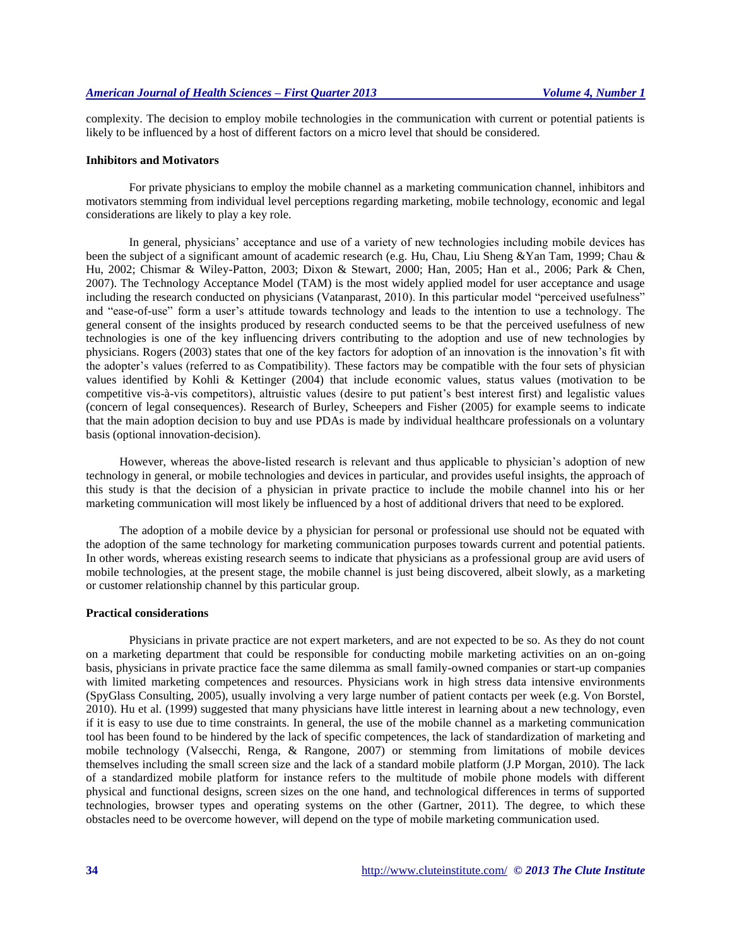complexity. The decision to employ mobile technologies in the communication with current or potential patients is likely to be influenced by a host of different factors on a micro level that should be considered.

#### **Inhibitors and Motivators**

For private physicians to employ the mobile channel as a marketing communication channel, inhibitors and motivators stemming from individual level perceptions regarding marketing, mobile technology, economic and legal considerations are likely to play a key role.

In general, physicians' acceptance and use of a variety of new technologies including mobile devices has been the subject of a significant amount of academic research (e.g. Hu, Chau, Liu Sheng &Yan Tam, 1999; Chau & Hu, 2002; Chismar & Wiley-Patton, 2003; Dixon & Stewart, 2000; Han, 2005; Han et al., 2006; Park & Chen, 2007). The Technology Acceptance Model (TAM) is the most widely applied model for user acceptance and usage including the research conducted on physicians (Vatanparast, 2010). In this particular model "perceived usefulness" and "ease-of-use" form a user's attitude towards technology and leads to the intention to use a technology. The general consent of the insights produced by research conducted seems to be that the perceived usefulness of new technologies is one of the key influencing drivers contributing to the adoption and use of new technologies by physicians. Rogers (2003) states that one of the key factors for adoption of an innovation is the innovation's fit with the adopter's values (referred to as Compatibility). These factors may be compatible with the four sets of physician values identified by Kohli & Kettinger (2004) that include economic values, status values (motivation to be competitive vis-à-vis competitors), altruistic values (desire to put patient's best interest first) and legalistic values (concern of legal consequences). Research of Burley, Scheepers and Fisher (2005) for example seems to indicate that the main adoption decision to buy and use PDAs is made by individual healthcare professionals on a voluntary basis (optional innovation-decision).

However, whereas the above-listed research is relevant and thus applicable to physician's adoption of new technology in general, or mobile technologies and devices in particular, and provides useful insights, the approach of this study is that the decision of a physician in private practice to include the mobile channel into his or her marketing communication will most likely be influenced by a host of additional drivers that need to be explored.

The adoption of a mobile device by a physician for personal or professional use should not be equated with the adoption of the same technology for marketing communication purposes towards current and potential patients. In other words, whereas existing research seems to indicate that physicians as a professional group are avid users of mobile technologies, at the present stage, the mobile channel is just being discovered, albeit slowly, as a marketing or customer relationship channel by this particular group.

#### **Practical considerations**

Physicians in private practice are not expert marketers, and are not expected to be so. As they do not count on a marketing department that could be responsible for conducting mobile marketing activities on an on-going basis, physicians in private practice face the same dilemma as small family-owned companies or start-up companies with limited marketing competences and resources. Physicians work in high stress data intensive environments (SpyGlass Consulting, 2005), usually involving a very large number of patient contacts per week (e.g. Von Borstel, 2010). Hu et al. (1999) suggested that many physicians have little interest in learning about a new technology, even if it is easy to use due to time constraints. In general, the use of the mobile channel as a marketing communication tool has been found to be hindered by the lack of specific competences, the lack of standardization of marketing and mobile technology (Valsecchi, Renga, & Rangone, 2007) or stemming from limitations of mobile devices themselves including the small screen size and the lack of a standard mobile platform (J.P Morgan, 2010). The lack of a standardized mobile platform for instance refers to the multitude of mobile phone models with different physical and functional designs, screen sizes on the one hand, and technological differences in terms of supported technologies, browser types and operating systems on the other (Gartner, 2011). The degree, to which these obstacles need to be overcome however, will depend on the type of mobile marketing communication used.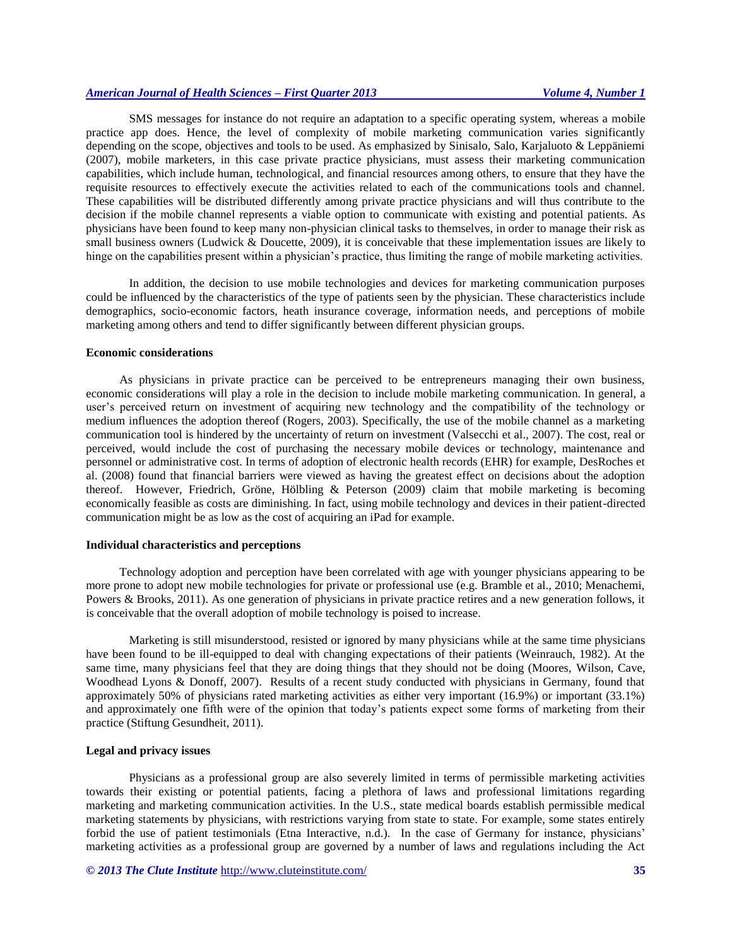SMS messages for instance do not require an adaptation to a specific operating system, whereas a mobile practice app does. Hence, the level of complexity of mobile marketing communication varies significantly depending on the scope, objectives and tools to be used. As emphasized by Sinisalo, Salo, Karjaluoto & Leppäniemi (2007), mobile marketers, in this case private practice physicians, must assess their marketing communication capabilities, which include human, technological, and financial resources among others, to ensure that they have the requisite resources to effectively execute the activities related to each of the communications tools and channel. These capabilities will be distributed differently among private practice physicians and will thus contribute to the decision if the mobile channel represents a viable option to communicate with existing and potential patients. As physicians have been found to keep many non-physician clinical tasks to themselves, in order to manage their risk as small business owners (Ludwick & Doucette, 2009), it is conceivable that these implementation issues are likely to hinge on the capabilities present within a physician's practice, thus limiting the range of mobile marketing activities.

In addition, the decision to use mobile technologies and devices for marketing communication purposes could be influenced by the characteristics of the type of patients seen by the physician. These characteristics include demographics, socio-economic factors, heath insurance coverage, information needs, and perceptions of mobile marketing among others and tend to differ significantly between different physician groups.

#### **Economic considerations**

As physicians in private practice can be perceived to be entrepreneurs managing their own business, economic considerations will play a role in the decision to include mobile marketing communication. In general, a user's perceived return on investment of acquiring new technology and the compatibility of the technology or medium influences the adoption thereof (Rogers, 2003). Specifically, the use of the mobile channel as a marketing communication tool is hindered by the uncertainty of return on investment (Valsecchi et al., 2007). The cost, real or perceived, would include the cost of purchasing the necessary mobile devices or technology, maintenance and personnel or administrative cost. In terms of adoption of electronic health records (EHR) for example, DesRoches et al. (2008) found that financial barriers were viewed as having the greatest effect on decisions about the adoption thereof. However, Friedrich, Gröne, Hölbling & Peterson (2009) claim that mobile marketing is becoming economically feasible as costs are diminishing. In fact, using mobile technology and devices in their patient-directed communication might be as low as the cost of acquiring an iPad for example.

#### **Individual characteristics and perceptions**

Technology adoption and perception have been correlated with age with younger physicians appearing to be more prone to adopt new mobile technologies for private or professional use (e.g. Bramble et al., 2010; Menachemi, Powers & Brooks, 2011). As one generation of physicians in private practice retires and a new generation follows, it is conceivable that the overall adoption of mobile technology is poised to increase.

Marketing is still misunderstood, resisted or ignored by many physicians while at the same time physicians have been found to be ill-equipped to deal with changing expectations of their patients (Weinrauch, 1982). At the same time, many physicians feel that they are doing things that they should not be doing (Moores, Wilson, Cave, Woodhead Lyons & Donoff, 2007). Results of a recent study conducted with physicians in Germany, found that approximately 50% of physicians rated marketing activities as either very important (16.9%) or important (33.1%) and approximately one fifth were of the opinion that today's patients expect some forms of marketing from their practice (Stiftung Gesundheit, 2011).

#### **Legal and privacy issues**

Physicians as a professional group are also severely limited in terms of permissible marketing activities towards their existing or potential patients, facing a plethora of laws and professional limitations regarding marketing and marketing communication activities. In the U.S., state medical boards establish permissible medical marketing statements by physicians, with restrictions varying from state to state. For example, some states entirely forbid the use of patient testimonials (Etna Interactive, n.d.). In the case of Germany for instance, physicians' marketing activities as a professional group are governed by a number of laws and regulations including the Act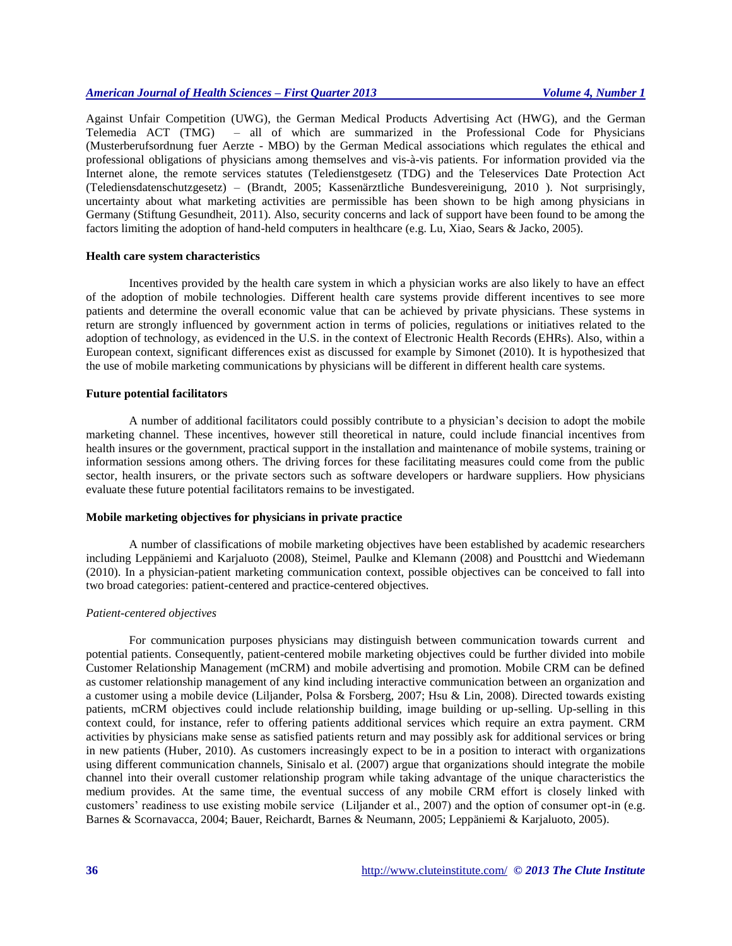Against Unfair Competition (UWG), the German Medical Products Advertising Act (HWG), and the German Telemedia ACT (TMG) – all of which are summarized in the Professional Code for Physicians (Musterberufsordnung fuer Aerzte - MBO) by the German Medical associations which regulates the ethical and professional obligations of physicians among themselves and vis-à-vis patients. For information provided via the Internet alone, the remote services statutes (Teledienstgesetz (TDG) and the Teleservices Date Protection Act (Telediensdatenschutzgesetz) – (Brandt, 2005; Kassenärztliche Bundesvereinigung, 2010 ). Not surprisingly, uncertainty about what marketing activities are permissible has been shown to be high among physicians in Germany (Stiftung Gesundheit, 2011). Also, security concerns and lack of support have been found to be among the factors limiting the adoption of hand-held computers in healthcare (e.g. Lu, Xiao, Sears & Jacko, 2005).

## **Health care system characteristics**

Incentives provided by the health care system in which a physician works are also likely to have an effect of the adoption of mobile technologies. Different health care systems provide different incentives to see more patients and determine the overall economic value that can be achieved by private physicians. These systems in return are strongly influenced by government action in terms of policies, regulations or initiatives related to the adoption of technology, as evidenced in the U.S. in the context of Electronic Health Records (EHRs). Also, within a European context, significant differences exist as discussed for example by Simonet (2010). It is hypothesized that the use of mobile marketing communications by physicians will be different in different health care systems.

#### **Future potential facilitators**

A number of additional facilitators could possibly contribute to a physician's decision to adopt the mobile marketing channel. These incentives, however still theoretical in nature, could include financial incentives from health insures or the government, practical support in the installation and maintenance of mobile systems, training or information sessions among others. The driving forces for these facilitating measures could come from the public sector, health insurers, or the private sectors such as software developers or hardware suppliers. How physicians evaluate these future potential facilitators remains to be investigated.

#### **Mobile marketing objectives for physicians in private practice**

A number of classifications of mobile marketing objectives have been established by academic researchers including Leppäniemi and Karjaluoto (2008), Steimel, Paulke and Klemann (2008) and Pousttchi and Wiedemann (2010). In a physician-patient marketing communication context, possible objectives can be conceived to fall into two broad categories: patient-centered and practice-centered objectives.

#### *Patient-centered objectives*

For communication purposes physicians may distinguish between communication towards current and potential patients. Consequently, patient-centered mobile marketing objectives could be further divided into mobile Customer Relationship Management (mCRM) and mobile advertising and promotion. Mobile CRM can be defined as customer relationship management of any kind including interactive communication between an organization and a customer using a mobile device (Liljander, Polsa & Forsberg, 2007; Hsu & Lin, 2008). Directed towards existing patients, mCRM objectives could include relationship building, image building or up-selling. Up-selling in this context could, for instance, refer to offering patients additional services which require an extra payment. CRM activities by physicians make sense as satisfied patients return and may possibly ask for additional services or bring in new patients (Huber, 2010). As customers increasingly expect to be in a position to interact with organizations using different communication channels, Sinisalo et al. (2007) argue that organizations should integrate the mobile channel into their overall customer relationship program while taking advantage of the unique characteristics the medium provides. At the same time, the eventual success of any mobile CRM effort is closely linked with customers' readiness to use existing mobile service (Liljander et al., 2007) and the option of consumer opt-in (e.g. Barnes & Scornavacca, 2004; Bauer, Reichardt, Barnes & Neumann, 2005; Leppäniemi & Karjaluoto, 2005).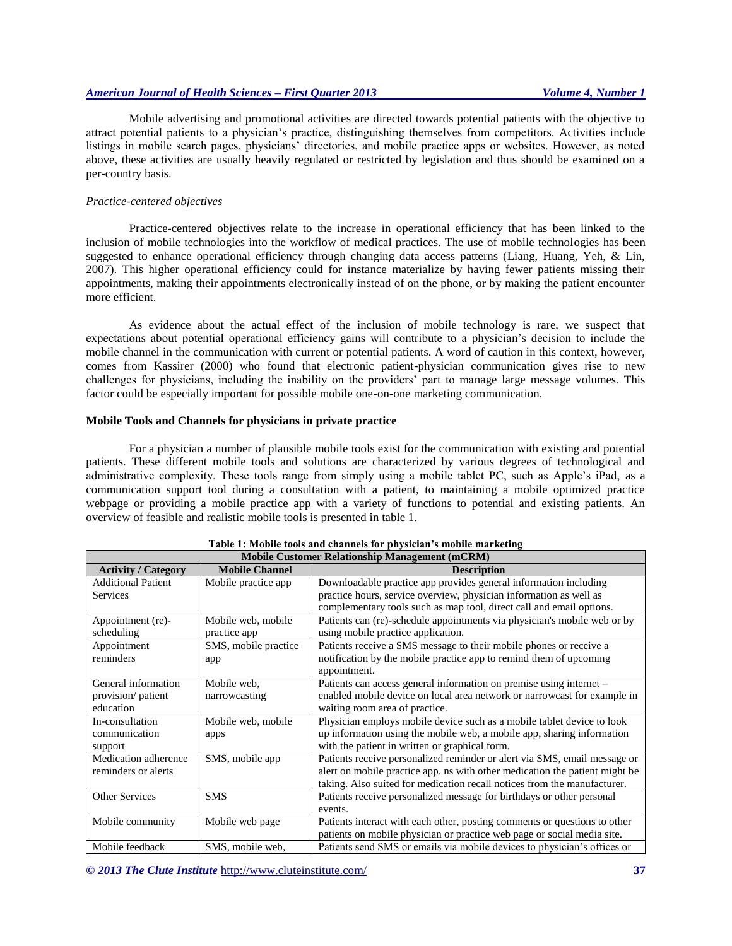Mobile advertising and promotional activities are directed towards potential patients with the objective to attract potential patients to a physician's practice, distinguishing themselves from competitors. Activities include listings in mobile search pages, physicians' directories, and mobile practice apps or websites. However, as noted above, these activities are usually heavily regulated or restricted by legislation and thus should be examined on a per-country basis.

#### *Practice-centered objectives*

Practice-centered objectives relate to the increase in operational efficiency that has been linked to the inclusion of mobile technologies into the workflow of medical practices. The use of mobile technologies has been suggested to enhance operational efficiency through changing data access patterns (Liang, Huang, Yeh, & Lin, 2007). This higher operational efficiency could for instance materialize by having fewer patients missing their appointments, making their appointments electronically instead of on the phone, or by making the patient encounter more efficient.

As evidence about the actual effect of the inclusion of mobile technology is rare, we suspect that expectations about potential operational efficiency gains will contribute to a physician's decision to include the mobile channel in the communication with current or potential patients. A word of caution in this context, however, comes from Kassirer (2000) who found that electronic patient-physician communication gives rise to new challenges for physicians, including the inability on the providers' part to manage large message volumes. This factor could be especially important for possible mobile one-on-one marketing communication.

## **Mobile Tools and Channels for physicians in private practice**

For a physician a number of plausible mobile tools exist for the communication with existing and potential patients. These different mobile tools and solutions are characterized by various degrees of technological and administrative complexity. These tools range from simply using a mobile tablet PC, such as Apple's iPad, as a communication support tool during a consultation with a patient, to maintaining a mobile optimized practice webpage or providing a mobile practice app with a variety of functions to potential and existing patients. An overview of feasible and realistic mobile tools is presented in table 1.

| таріс т. гібрік соот ана спаннсіз тот риузісіан з шорік шагіхсінд<br><b>Mobile Customer Relationship Management (mCRM)</b> |                       |                                                                             |  |
|----------------------------------------------------------------------------------------------------------------------------|-----------------------|-----------------------------------------------------------------------------|--|
| <b>Activity / Category</b>                                                                                                 | <b>Mobile Channel</b> | <b>Description</b>                                                          |  |
| <b>Additional Patient</b>                                                                                                  | Mobile practice app.  | Downloadable practice app provides general information including            |  |
| <b>Services</b>                                                                                                            |                       | practice hours, service overview, physician information as well as          |  |
|                                                                                                                            |                       | complementary tools such as map tool, direct call and email options.        |  |
| Appointment (re)-                                                                                                          | Mobile web, mobile    | Patients can (re)-schedule appointments via physician's mobile web or by    |  |
| scheduling                                                                                                                 | practice app          | using mobile practice application.                                          |  |
| Appointment                                                                                                                | SMS, mobile practice  | Patients receive a SMS message to their mobile phones or receive a          |  |
| reminders                                                                                                                  | app                   | notification by the mobile practice app to remind them of upcoming          |  |
|                                                                                                                            |                       | appointment.                                                                |  |
| General information                                                                                                        | Mobile web,           | Patients can access general information on premise using internet -         |  |
| provision/ patient                                                                                                         | narrowcasting         | enabled mobile device on local area network or narrowcast for example in    |  |
| education                                                                                                                  |                       | waiting room area of practice.                                              |  |
| In-consultation                                                                                                            | Mobile web, mobile    | Physician employs mobile device such as a mobile tablet device to look      |  |
| communication                                                                                                              | apps                  | up information using the mobile web, a mobile app, sharing information      |  |
| support                                                                                                                    |                       | with the patient in written or graphical form.                              |  |
| Medication adherence                                                                                                       | SMS, mobile app       | Patients receive personalized reminder or alert via SMS, email message or   |  |
| reminders or alerts                                                                                                        |                       | alert on mobile practice app. ns with other medication the patient might be |  |
|                                                                                                                            |                       | taking. Also suited for medication recall notices from the manufacturer.    |  |
| <b>Other Services</b>                                                                                                      | <b>SMS</b>            | Patients receive personalized message for birthdays or other personal       |  |
|                                                                                                                            |                       | events.                                                                     |  |
| Mobile community                                                                                                           | Mobile web page       | Patients interact with each other, posting comments or questions to other   |  |
|                                                                                                                            |                       | patients on mobile physician or practice web page or social media site.     |  |
| Mobile feedback                                                                                                            | SMS, mobile web,      | Patients send SMS or emails via mobile devices to physician's offices or    |  |

## **Table 1: Mobile tools and channels for physician's mobile marketing**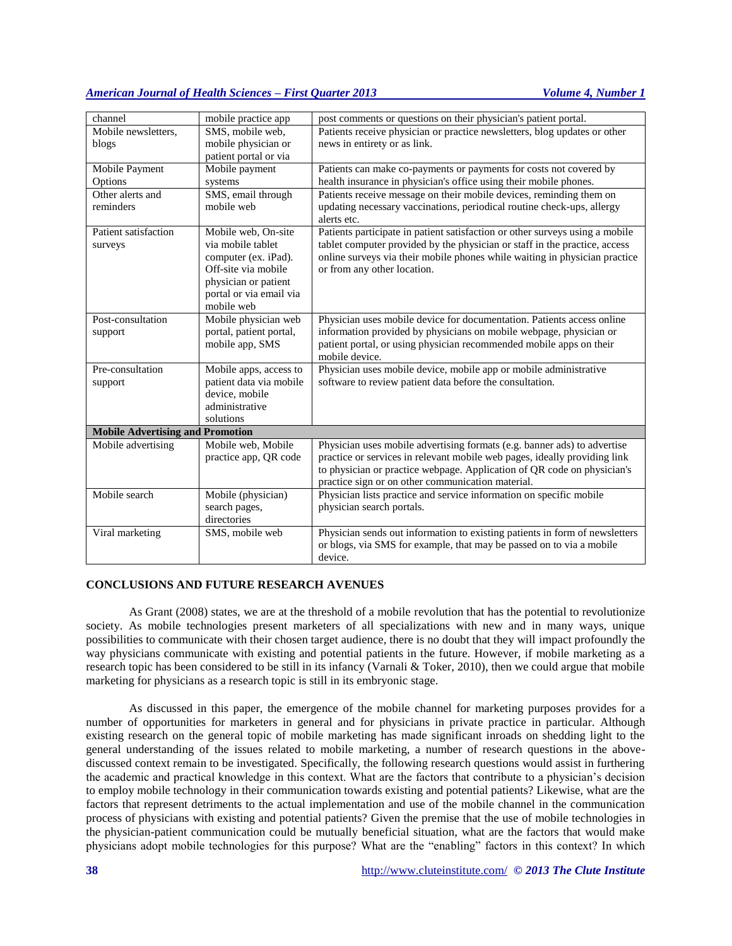| channel                                                       | mobile practice app              | post comments or questions on their physician's patient portal.              |
|---------------------------------------------------------------|----------------------------------|------------------------------------------------------------------------------|
| Mobile newsletters,                                           | SMS, mobile web,                 | Patients receive physician or practice newsletters, blog updates or other    |
| blogs                                                         | mobile physician or              | news in entirety or as link.                                                 |
|                                                               | patient portal or via            |                                                                              |
| Mobile Payment                                                | Mobile payment                   | Patients can make co-payments or payments for costs not covered by           |
| Options                                                       | systems                          | health insurance in physician's office using their mobile phones.            |
| Other alerts and                                              | SMS, email through               | Patients receive message on their mobile devices, reminding them on          |
| reminders                                                     | mobile web                       | updating necessary vaccinations, periodical routine check-ups, allergy       |
|                                                               |                                  | alerts etc.                                                                  |
| Patient satisfaction                                          | Mobile web, On-site              | Patients participate in patient satisfaction or other surveys using a mobile |
| surveys                                                       | via mobile tablet                | tablet computer provided by the physician or staff in the practice, access   |
|                                                               | computer (ex. iPad).             | online surveys via their mobile phones while waiting in physician practice   |
|                                                               | Off-site via mobile              | or from any other location.                                                  |
|                                                               | physician or patient             |                                                                              |
|                                                               | portal or via email via          |                                                                              |
|                                                               | mobile web                       |                                                                              |
| Post-consultation                                             | Mobile physician web             | Physician uses mobile device for documentation. Patients access online       |
| support                                                       | portal, patient portal,          | information provided by physicians on mobile webpage, physician or           |
|                                                               | mobile app, SMS                  | patient portal, or using physician recommended mobile apps on their          |
|                                                               |                                  | mobile device.                                                               |
| Pre-consultation                                              | Mobile apps, access to           | Physician uses mobile device, mobile app or mobile administrative            |
| support                                                       | patient data via mobile          | software to review patient data before the consultation.                     |
|                                                               | device, mobile<br>administrative |                                                                              |
|                                                               | solutions                        |                                                                              |
|                                                               |                                  |                                                                              |
| <b>Mobile Advertising and Promotion</b><br>Mobile advertising | Mobile web, Mobile               | Physician uses mobile advertising formats (e.g. banner ads) to advertise     |
|                                                               | practice app, QR code            | practice or services in relevant mobile web pages, ideally providing link    |
|                                                               |                                  | to physician or practice webpage. Application of QR code on physician's      |
|                                                               |                                  | practice sign or on other communication material.                            |
| Mobile search                                                 | Mobile (physician)               | Physician lists practice and service information on specific mobile          |
|                                                               | search pages,                    | physician search portals.                                                    |
|                                                               | directories                      |                                                                              |
| Viral marketing                                               | SMS, mobile web                  | Physician sends out information to existing patients in form of newsletters  |
|                                                               |                                  | or blogs, via SMS for example, that may be passed on to via a mobile         |
|                                                               |                                  | device.                                                                      |

# **CONCLUSIONS AND FUTURE RESEARCH AVENUES**

As Grant (2008) states, we are at the threshold of a mobile revolution that has the potential to revolutionize society. As mobile technologies present marketers of all specializations with new and in many ways, unique possibilities to communicate with their chosen target audience, there is no doubt that they will impact profoundly the way physicians communicate with existing and potential patients in the future. However, if mobile marketing as a research topic has been considered to be still in its infancy (Varnali & Toker, 2010), then we could argue that mobile marketing for physicians as a research topic is still in its embryonic stage.

As discussed in this paper, the emergence of the mobile channel for marketing purposes provides for a number of opportunities for marketers in general and for physicians in private practice in particular. Although existing research on the general topic of mobile marketing has made significant inroads on shedding light to the general understanding of the issues related to mobile marketing, a number of research questions in the abovediscussed context remain to be investigated. Specifically, the following research questions would assist in furthering the academic and practical knowledge in this context. What are the factors that contribute to a physician's decision to employ mobile technology in their communication towards existing and potential patients? Likewise, what are the factors that represent detriments to the actual implementation and use of the mobile channel in the communication process of physicians with existing and potential patients? Given the premise that the use of mobile technologies in the physician-patient communication could be mutually beneficial situation, what are the factors that would make physicians adopt mobile technologies for this purpose? What are the "enabling" factors in this context? In which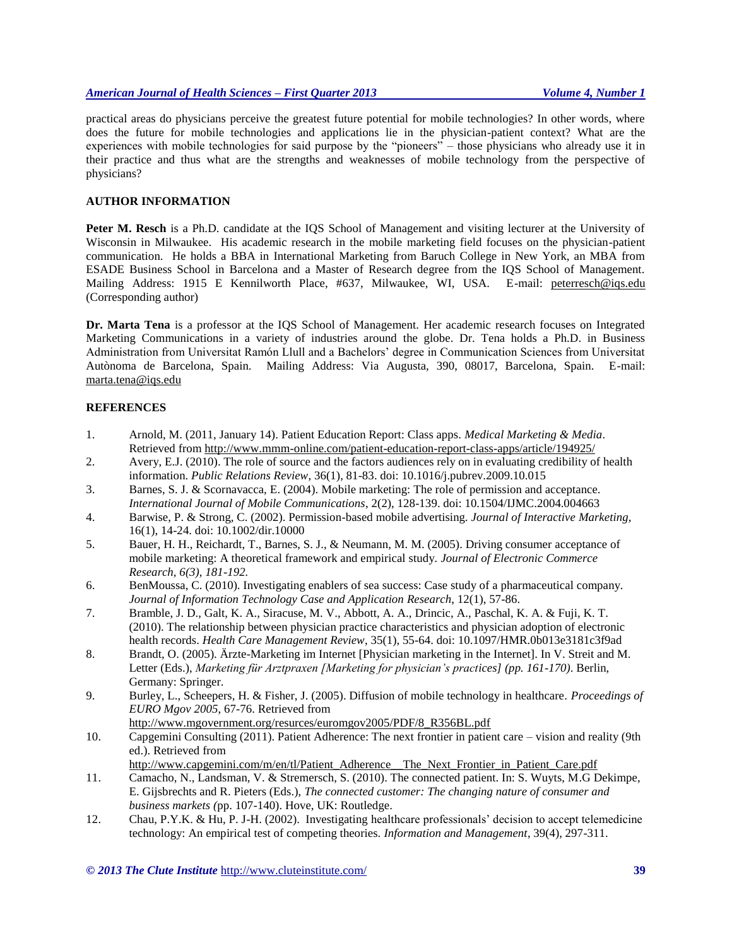practical areas do physicians perceive the greatest future potential for mobile technologies? In other words, where does the future for mobile technologies and applications lie in the physician-patient context? What are the experiences with mobile technologies for said purpose by the "pioneers" – those physicians who already use it in their practice and thus what are the strengths and weaknesses of mobile technology from the perspective of physicians?

#### **AUTHOR INFORMATION**

**Peter M. Resch** is a Ph.D. candidate at the IQS School of Management and visiting lecturer at the University of Wisconsin in Milwaukee. His academic research in the mobile marketing field focuses on the physician-patient communication. He holds a BBA in International Marketing from Baruch College in New York, an MBA from ESADE Business School in Barcelona and a Master of Research degree from the IQS School of Management. Mailing Address: 1915 E Kennilworth Place, #637, Milwaukee, WI, USA. E-mail: peterresch@iqs.edu (Corresponding author)

**Dr. Marta Tena** is a professor at the IQS School of Management. Her academic research focuses on Integrated Marketing Communications in a variety of industries around the globe. Dr. Tena holds a Ph.D. in Business Administration from Universitat Ramón Llull and a Bachelors' degree in Communication Sciences from Universitat Autònoma de Barcelona, Spain. Mailing Address: Via Augusta, 390, 08017, Barcelona, Spain. E-mail: [marta.tena@iqs.edu](mailto:marta.tena@iqs.edu)

## **REFERENCES**

- 1. Arnold, M. (2011, January 14). Patient Education Report: Class apps. *Medical Marketing & Media*. Retrieved from<http://www.mmm-online.com/patient-education-report-class-apps/article/194925/>
- 2. Avery, E.J. (2010). The role of source and the factors audiences rely on in evaluating credibility of health information. *Public Relations Review*, 36(1), 81-83. doi: 10.1016/j.pubrev.2009.10.015
- 3. Barnes, S. J. & Scornavacca, E. (2004). Mobile marketing: The role of permission and acceptance. *International Journal of Mobile Communications*, 2(2), 128-139. doi: 10.1504/IJMC.2004.004663
- 4. Barwise, P. & Strong, C. (2002). Permission-based mobile advertising. *Journal of Interactive Marketing*, 16(1), 14-24. doi: 10.1002/dir.10000
- 5. Bauer, H. H., Reichardt, T., Barnes, S. J., & Neumann, M. M. (2005). Driving consumer acceptance of mobile marketing: A theoretical framework and empirical study*. Journal of Electronic Commerce Research, 6(3), 181-192.*
- 6. BenMoussa, C. (2010). Investigating enablers of sea success: Case study of a pharmaceutical company. *Journal of Information Technology Case and Application Research*, 12(1), 57-86.
- 7. Bramble, J. D., Galt, K. A., Siracuse, M. V., Abbott, A. A., Drincic, A., Paschal, K. A. & Fuji, K. T. (2010). The relationship between physician practice characteristics and physician adoption of electronic health records. *Health Care Management Review*, 35(1), 55-64. doi: 10.1097/HMR.0b013e3181c3f9ad
- 8. Brandt, O. (2005). Ärzte-Marketing im Internet [Physician marketing in the Internet]. In V. Streit and M. Letter (Eds.), *Marketing für Arztpraxen [Marketing for physician's practices] (pp. 161-170)*. Berlin, Germany: Springer.
- 9. Burley, L., Scheepers, H. & Fisher, J. (2005). Diffusion of mobile technology in healthcare. *Proceedings of EURO Mgov 2005*, 67-76. Retrieved from [http://www.mgovernment.org/resurces/euromgov2005/PDF/8\\_R356BL.pdf](http://www.mgovernment.org/resurces/euromgov2005/PDF/8_R356BL.pdf)
- 10. Capgemini Consulting (2011). Patient Adherence: The next frontier in patient care vision and reality (9th ed.). Retrieved from
	- [http://www.capgemini.com/m/en/tl/Patient\\_Adherence\\_\\_The\\_Next\\_Frontier\\_in\\_Patient\\_Care.pdf](http://www.capgemini.com/m/en/tl/Patient_Adherence__The_Next_Frontier_in_Patient_Care.pdf)
- 11. Camacho, N., Landsman, V. & Stremersch, S. (2010). The connected patient. In: S. Wuyts, M.G Dekimpe, E. Gijsbrechts and R. Pieters (Eds.), *The connected customer: The changing nature of consumer and business markets (*pp. 107-140). Hove, UK: Routledge.
- 12. Chau, P.Y.K. & Hu, P. J-H. (2002). Investigating healthcare professionals' decision to accept telemedicine technology: An empirical test of competing theories. *Information and Management*, 39(4), 297-311.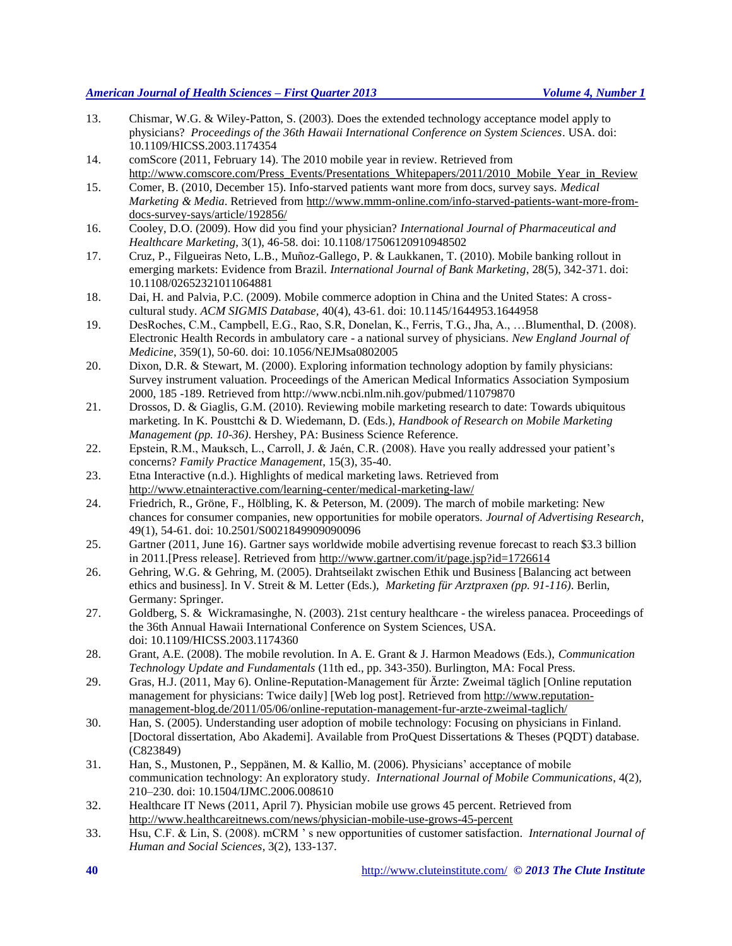- 13. Chismar, W.G. & Wiley-Patton, S. (2003). Does the extended technology acceptance model apply to physicians? *Proceedings of the 36th Hawaii International Conference on System Sciences*. USA. doi: 10.1109/HICSS.2003.1174354
- 14. comScore (2011, February 14). The 2010 mobile year in review. Retrieved from [http://www.comscore.com/Press\\_Events/Presentations\\_Whitepapers/2011/2010\\_Mobile\\_Year\\_in\\_Review](http://www.comscore.com/Press_Events/Presentations_Whitepapers/2011/2010_Mobile_Year_in_Review)
- 15. Comer, B. (2010, December 15). Info-starved patients want more from docs, survey says. *Medical Marketing & Media*. Retrieved from [http://www.mmm-online.com/info-starved-patients-want-more-from](http://www.mmm-online.com/info-starved-patients-want-more-from-docs-survey-says/article/192856/)[docs-survey-says/article/192856/](http://www.mmm-online.com/info-starved-patients-want-more-from-docs-survey-says/article/192856/)
- 16. Cooley, D.O. (2009). How did you find your physician? *International Journal of Pharmaceutical and Healthcare Marketing*, 3(1), 46-58. doi: 10.1108/17506120910948502
- 17. Cruz, P., Filgueiras Neto, L.B., Muñoz-Gallego, P. & Laukkanen, T. (2010). Mobile banking rollout in emerging markets: Evidence from Brazil. *International Journal of Bank Marketing*, 28(5), 342-371. doi: 10.1108/02652321011064881
- 18. Dai, H. and Palvia, P.C. (2009). Mobile commerce adoption in China and the United States: A crosscultural study. *ACM SIGMIS Database,* 40(4), 43-61. doi: 10.1145/1644953.1644958
- 19. DesRoches, C.M., Campbell, E.G., Rao, S.R, Donelan, K., Ferris, T.G., Jha, A., …Blumenthal, D. (2008). Electronic Health Records in ambulatory care - a national survey of physicians. *New England Journal of Medicine*, 359(1), 50-60. doi: 10.1056/NEJMsa0802005
- 20. Dixon, D.R. & Stewart, M. (2000). Exploring information technology adoption by family physicians: Survey instrument valuation. Proceedings of the American Medical Informatics Association Symposium 2000, 185 -189. Retrieved from http://www.ncbi.nlm.nih.gov/pubmed/11079870
- 21. Drossos, D. & Giaglis, G.M. (2010). Reviewing mobile marketing research to date: Towards ubiquitous marketing. In K. Pousttchi & D. Wiedemann, D. (Eds.), *Handbook of Research on Mobile Marketing Management (pp. 10-36)*. Hershey, PA: Business Science Reference.
- 22. Epstein, R.M., Mauksch, L., Carroll, J. & Jaén, C.R. (2008). Have you really addressed your patient's concerns? *Family Practice Management*, 15(3), 35-40.
- 23. Etna Interactive (n.d.). Highlights of medical marketing laws. Retrieved from <http://www.etnainteractive.com/learning-center/medical-marketing-law/>
- 24. Friedrich, R., Gröne, F., Hölbling, K. & Peterson, M. (2009). The march of mobile marketing: New chances for consumer companies, new opportunities for mobile operators. *Journal of Advertising Research*, 49(1), 54-61. doi: 10.2501/S0021849909090096
- 25. Gartner (2011, June 16). Gartner says worldwide mobile advertising revenue forecast to reach \$3.3 billion in 2011.[Press release]. Retrieved from<http://www.gartner.com/it/page.jsp?id=1726614>
- 26. Gehring, W.G. & Gehring, M. (2005). Drahtseilakt zwischen Ethik und Business [Balancing act between ethics and business]. In V. Streit & M. Letter (Eds.), *Marketing für Arztpraxen (pp. 91-116)*. Berlin, Germany: Springer.
- 27. Goldberg, S. & Wickramasinghe, N. (2003). 21st century healthcare the wireless panacea. Proceedings of the 36th Annual Hawaii International Conference on System Sciences, USA. doi: 10.1109/HICSS.2003.1174360
- 28. Grant, A.E. (2008). The mobile revolution. In A. E. Grant & J. Harmon Meadows (Eds.), *Communication Technology Update and Fundamentals* (11th ed., pp. 343-350). Burlington, MA: Focal Press.
- 29. Gras, H.J. (2011, May 6). Online-Reputation-Management für Ärzte: Zweimal täglich [Online reputation management for physicians: Twice daily] [Web log post]. Retrieved from [http://www.reputation](http://www.reputation-management-blog.de/2011/05/06/online-reputation-management-fur-arzte-zweimal-taglich/)[management-blog.de/2011/05/06/online-reputation-management-fur-arzte-zweimal-taglich/](http://www.reputation-management-blog.de/2011/05/06/online-reputation-management-fur-arzte-zweimal-taglich/)
- 30. Han, S. (2005). Understanding user adoption of mobile technology: Focusing on physicians in Finland. [Doctoral dissertation, Abo Akademi]. Available from ProQuest Dissertations & Theses (PQDT) database. (C823849)
- 31. Han, S., Mustonen, P., Seppänen, M. & Kallio, M. (2006). Physicians' acceptance of mobile communication technology: An exploratory study. *International Journal of Mobile Communications*, 4(2), 210–230. doi: 10.1504/IJMC.2006.008610
- 32. Healthcare IT News (2011, April 7). Physician mobile use grows 45 percent. Retrieved from <http://www.healthcareitnews.com/news/physician-mobile-use-grows-45-percent>
- 33. Hsu, C.F. & Lin, S. (2008). mCRM ' s new opportunities of customer satisfaction. *International Journal of Human and Social Sciences*, 3(2), 133-137.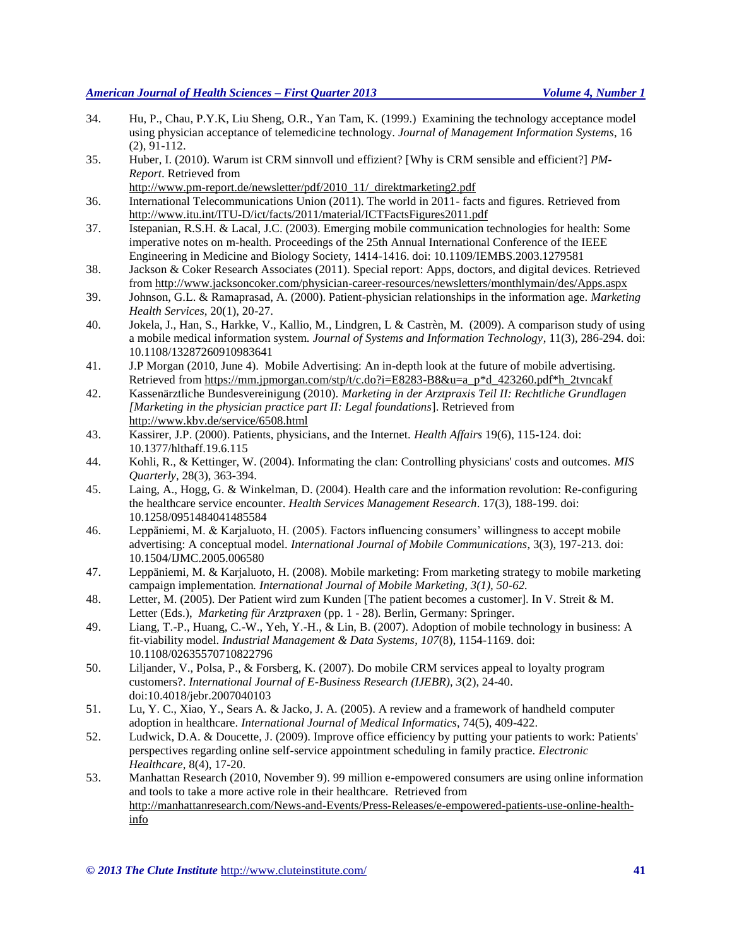- 34. Hu, P., Chau, P.Y.K, Liu Sheng, O.R., Yan Tam, K. (1999.) Examining the technology acceptance model using physician acceptance of telemedicine technology. *Journal of Management Information Systems*, 16 (2), 91-112.
- 35. Huber, I. (2010). Warum ist CRM sinnvoll und effizient? [Why is CRM sensible and efficient?] *PM-Report*. Retrieved from

[http://www.pm-report.de/newsletter/pdf/2010\\_11/\\_direktmarketing2.pdf](http://www.pm-report.de/newsletter/pdf/2010_11/_direktmarketing2.pdf)

- 36. International Telecommunications Union (2011). The world in 2011- facts and figures. Retrieved from <http://www.itu.int/ITU-D/ict/facts/2011/material/ICTFactsFigures2011.pdf>
- 37. Istepanian, R.S.H. & Lacal, J.C. (2003). Emerging mobile communication technologies for health: Some imperative notes on m-health. Proceedings of the 25th Annual International Conference of the IEEE Engineering in Medicine and Biology Society, 1414-1416. doi: 10.1109/IEMBS.2003.1279581
- 38. Jackson & Coker Research Associates (2011). Special report: Apps, doctors, and digital devices. Retrieved from<http://www.jacksoncoker.com/physician-career-resources/newsletters/monthlymain/des/Apps.aspx>
- 39. Johnson, G.L. & Ramaprasad, A. (2000). Patient-physician relationships in the information age. *Marketing Health Services*, 20(1), 20-27.
- 40. Jokela, J., Han, S., Harkke, V., Kallio, M., Lindgren, L & Castrèn, M. (2009). A comparison study of using a mobile medical information system. *Journal of Systems and Information Technology*, 11(3), 286-294. doi: 10.1108/13287260910983641
- 41. J.P Morgan (2010, June 4). Mobile Advertising: An in-depth look at the future of mobile advertising. Retrieved from [https://mm.jpmorgan.com/stp/t/c.do?i=E8283-B8&u=a\\_p\\*d\\_423260.pdf\\*h\\_2tvncakf](https://mm.jpmorgan.com/stp/t/c.do?i=E8283-B8&u=a_p*d_423260.pdf*h_2tvncakf)
- 42. Kassenärztliche Bundesvereinigung (2010). *Marketing in der Arztpraxis Teil II: Rechtliche Grundlagen [Marketing in the physician practice part II: Legal foundations*]. Retrieved from <http://www.kbv.de/service/6508.html>
- 43. Kassirer, J.P. (2000). Patients, physicians, and the Internet. *Health Affairs* 19(6), 115-124. doi: 10.1377/hlthaff.19.6.115
- 44. Kohli, R., & Kettinger, W. (2004). Informating the clan: Controlling physicians' costs and outcomes. *MIS Quarterly*, 28(3), 363-394.
- 45. Laing, A., Hogg, G. & Winkelman, D. (2004). Health care and the information revolution: Re-configuring the healthcare service encounter. *Health Services Management Research*. 17(3), 188-199. doi: 10.1258/0951484041485584
- 46. Leppäniemi, M. & Karjaluoto, H. (2005). Factors influencing consumers' willingness to accept mobile advertising: A conceptual model. *International Journal of Mobile Communications*, 3(3), 197-213. doi: 10.1504/IJMC.2005.006580
- 47. Leppäniemi, M. & Karjaluoto, H. (2008). Mobile marketing: From marketing strategy to mobile marketing campaign implementation*. International Journal of Mobile Marketing, 3(1), 50-62.*
- 48. Letter, M. (2005). Der Patient wird zum Kunden [The patient becomes a customer]. In V. Streit & M. Letter (Eds.), *Marketing für Arztpraxen* (pp. 1 - 28). Berlin, Germany: Springer.
- 49. Liang, T.-P., Huang, C.-W., Yeh, Y.-H., & Lin, B. (2007). Adoption of mobile technology in business: A fit-viability model. *Industrial Management & Data Systems*, *107*(8), 1154-1169. doi: 10.1108/02635570710822796
- 50. Liljander, V., Polsa, P., & Forsberg, K. (2007). Do mobile CRM services appeal to loyalty program customers?. *International Journal of E-Business Research (IJEBR), 3*(2), 24-40. doi:10.4018/jebr.2007040103
- 51. Lu, Y. C., Xiao, Y., Sears A. & Jacko, J. A. (2005). A review and a framework of handheld computer adoption in healthcare. *International Journal of Medical Informatics*, 74(5), 409-422.
- 52. Ludwick, D.A. & Doucette, J. (2009). Improve office efficiency by putting your patients to work: Patients' perspectives regarding online self-service appointment scheduling in family practice. *Electronic Healthcare*, 8(4), 17-20.
- 53. Manhattan Research (2010, November 9). 99 million e-empowered consumers are using online information and tools to take a more active role in their healthcare. Retrieved from [http://manhattanresearch.com/News-and-Events/Press-Releases/e-empowered-patients-use-online-health](http://manhattanresearch.com/News-and-Events/Press-Releases/e-empowered-patients-use-online-health-info)[info](http://manhattanresearch.com/News-and-Events/Press-Releases/e-empowered-patients-use-online-health-info)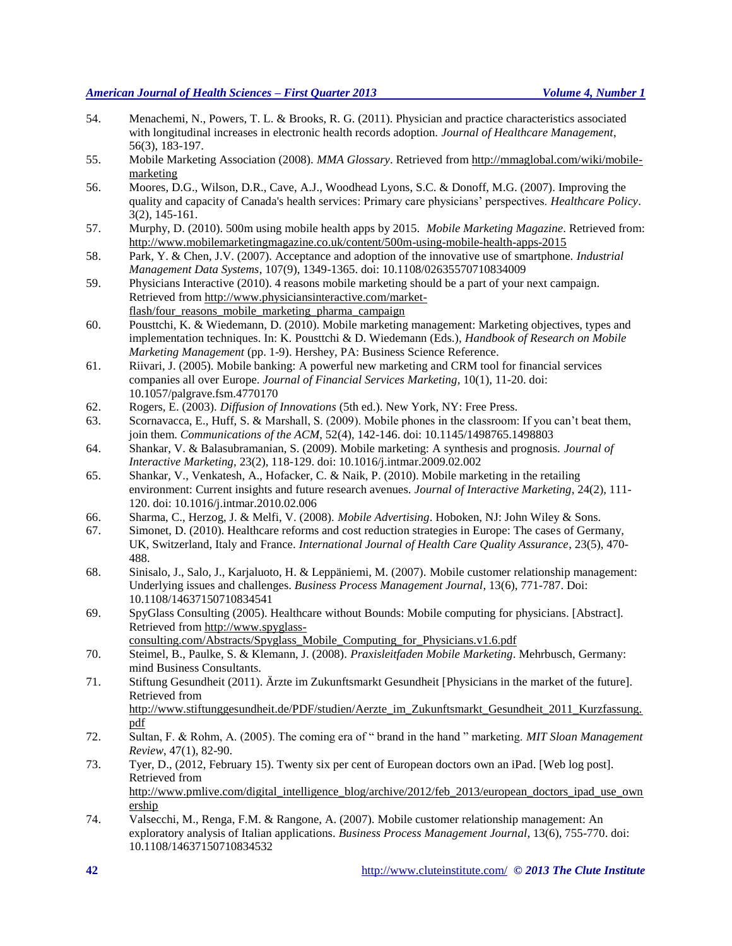- 54. Menachemi, N., Powers, T. L. & Brooks, R. G. (2011). Physician and practice characteristics associated with longitudinal increases in electronic health records adoption. *Journal of Healthcare Management*, 56(3), 183-197.
- 55. Mobile Marketing Association (2008). *MMA Glossary*. Retrieved fro[m http://mmaglobal.com/wiki/mobile](http://mmaglobal.com/wiki/mobile-marketing)[marketing](http://mmaglobal.com/wiki/mobile-marketing)
- 56. Moores, D.G., Wilson, D.R., Cave, A.J., Woodhead Lyons, S.C. & Donoff, M.G. (2007). Improving the quality and capacity of Canada's health services: Primary care physicians' perspectives. *Healthcare Policy*. 3(2), 145-161.
- 57. Murphy, D. (2010). 500m using mobile health apps by 2015. *Mobile Marketing Magazine*. Retrieved from: <http://www.mobilemarketingmagazine.co.uk/content/500m-using-mobile-health-apps-2015>
- 58. Park, Y. & Chen, J.V. (2007). Acceptance and adoption of the innovative use of smartphone. *Industrial Management Data Systems*, 107(9), 1349-1365. doi: 10.1108/02635570710834009
- 59. Physicians Interactive (2010). 4 reasons mobile marketing should be a part of your next campaign. Retrieved from [http://www.physiciansinteractive.com/market](http://www.physiciansinteractive.com/market-flash/four_reasons_mobile_marketing_pharma_campaign)[flash/four\\_reasons\\_mobile\\_marketing\\_pharma\\_campaign](http://www.physiciansinteractive.com/market-flash/four_reasons_mobile_marketing_pharma_campaign)
- 60. Pousttchi, K. & Wiedemann, D. (2010). Mobile marketing management: Marketing objectives, types and implementation techniques. In: K. Pousttchi & D. Wiedemann (Eds.), *Handbook of Research on Mobile Marketing Management* (pp. 1-9). Hershey, PA: Business Science Reference.
- 61. Riivari, J. (2005). Mobile banking: A powerful new marketing and CRM tool for financial services companies all over Europe. *Journal of Financial Services Marketing*, 10(1), 11-20. doi: 10.1057/palgrave.fsm.4770170
- 62. Rogers, E. (2003). *Diffusion of Innovations* (5th ed.). New York, NY: Free Press.
- 63. Scornavacca, E., Huff, S. & Marshall, S. (2009). Mobile phones in the classroom: If you can't beat them, join them. *Communications of the ACM*, 52(4), 142-146. doi: 10.1145/1498765.1498803
- 64. Shankar, V. & Balasubramanian, S. (2009). Mobile marketing: A synthesis and prognosis. *Journal of Interactive Marketing,* 23(2), 118-129. doi: 10.1016/j.intmar.2009.02.002
- 65. Shankar, V., Venkatesh, A., Hofacker, C. & Naik, P. (2010). Mobile marketing in the retailing environment: Current insights and future research avenues. *Journal of Interactive Marketing*, 24(2), 111- 120. doi: 10.1016/j.intmar.2010.02.006
- 66. Sharma, C., Herzog, J. & Melfi, V. (2008). *Mobile Advertising*. Hoboken, NJ: John Wiley & Sons.
- 67. Simonet, D. (2010). Healthcare reforms and cost reduction strategies in Europe: The cases of Germany, UK, Switzerland, Italy and France. *International Journal of Health Care Quality Assurance*, 23(5), 470- 488.
- 68. Sinisalo, J., Salo, J., Karjaluoto, H. & Leppäniemi, M. (2007). Mobile customer relationship management: Underlying issues and challenges. *Business Process Management Journal*, 13(6), 771-787. Doi: 10.1108/14637150710834541
- 69. SpyGlass Consulting (2005). Healthcare without Bounds: Mobile computing for physicians. [Abstract]. Retrieved from [http://www.spyglass-](http://www.spyglass-consulting.com/Abstracts/Spyglass_Mobile_Computing_for_Physicians.v1.6.pdf)

[consulting.com/Abstracts/Spyglass\\_Mobile\\_Computing\\_for\\_Physicians.v1.6.pdf](http://www.spyglass-consulting.com/Abstracts/Spyglass_Mobile_Computing_for_Physicians.v1.6.pdf)

- 70. Steimel, B., Paulke, S. & Klemann, J. (2008). *Praxisleitfaden Mobile Marketing*. Mehrbusch, Germany: mind Business Consultants.
- 71. Stiftung Gesundheit (2011). Ärzte im Zukunftsmarkt Gesundheit [Physicians in the market of the future]. Retrieved from [http://www.stiftunggesundheit.de/PDF/studien/Aerzte\\_im\\_Zukunftsmarkt\\_Gesundheit\\_2011\\_Kurzfassung.](http://www.stiftunggesundheit.de/PDF/studien/Aerzte_im_Zukunftsmarkt_Gesundheit_2011_Kurzfassung.pdf) [pdf](http://www.stiftunggesundheit.de/PDF/studien/Aerzte_im_Zukunftsmarkt_Gesundheit_2011_Kurzfassung.pdf)
- 72. Sultan, F. & Rohm, A. (2005). The coming era of " brand in the hand " marketing. *MIT Sloan Management Review*, 47(1), 82-90.
- 73. Tyer, D., (2012, February 15). Twenty six per cent of European doctors own an iPad. [Web log post]. Retrieved from [http://www.pmlive.com/digital\\_intelligence\\_blog/archive/2012/feb\\_2013/european\\_doctors\\_ipad\\_use\\_own](http://www.pmlive.com/digital_intelligence_blog/archive/2012/feb_2013/european_doctors_ipad_use_ownership) [ership](http://www.pmlive.com/digital_intelligence_blog/archive/2012/feb_2013/european_doctors_ipad_use_ownership)
- 74. Valsecchi, M., Renga, F.M. & Rangone, A. (2007). Mobile customer relationship management: An exploratory analysis of Italian applications. *Business Process Management Journal*, 13(6), 755-770. doi: 10.1108/14637150710834532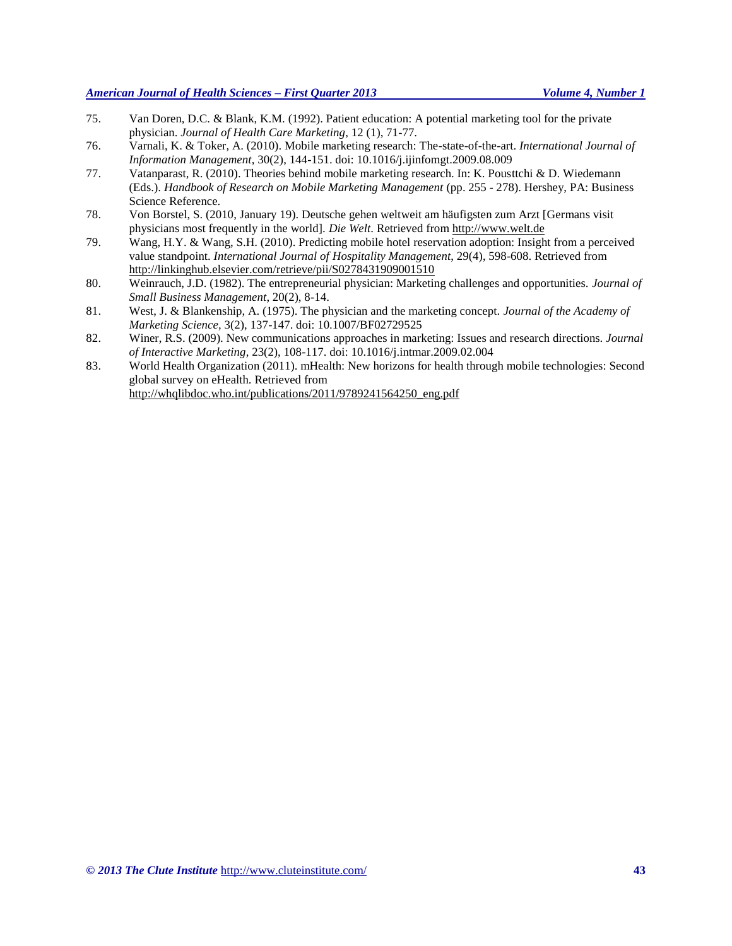- 75. Van Doren, D.C. & Blank, K.M. (1992). Patient education: A potential marketing tool for the private physician. *Journal of Health Care Marketing*, 12 (1), 71-77.
- 76. Varnali, K. & Toker, A. (2010). Mobile marketing research: The-state-of-the-art. *International Journal of Information Management*, 30(2), 144-151. doi: 10.1016/j.ijinfomgt.2009.08.009
- 77. Vatanparast, R. (2010). Theories behind mobile marketing research. In: K. Pousttchi & D. Wiedemann (Eds.). *Handbook of Research on Mobile Marketing Management* (pp. 255 - 278). Hershey, PA: Business Science Reference.
- 78. Von Borstel, S. (2010, January 19). Deutsche gehen weltweit am häufigsten zum Arzt [Germans visit physicians most frequently in the world]. *Die Welt*. Retrieved fro[m http://www.welt.de](http://www.welt.de/)
- 79. Wang, H.Y. & Wang, S.H. (2010). Predicting mobile hotel reservation adoption: Insight from a perceived value standpoint. *International Journal of Hospitality Management*, 29(4), 598-608. Retrieved from http://linkinghub.elsevier.com/retrieve/pii/S0278431909001510
- 80. Weinrauch, J.D. (1982). The entrepreneurial physician: Marketing challenges and opportunities. *Journal of Small Business Management*, 20(2), 8-14.
- 81. West, J. & Blankenship, A. (1975). The physician and the marketing concept. *Journal of the Academy of Marketing Science,* 3(2), 137-147. doi: 10.1007/BF02729525
- 82. Winer, R.S. (2009). New communications approaches in marketing: Issues and research directions. *Journal of Interactive Marketing*, 23(2), 108-117. doi: 10.1016/j.intmar.2009.02.004
- 83. World Health Organization (2011). mHealth: New horizons for health through mobile technologies: Second global survey on eHealth. Retrieved from http://whqlibdoc.who.int/publications/2011/9789241564250\_eng.pdf